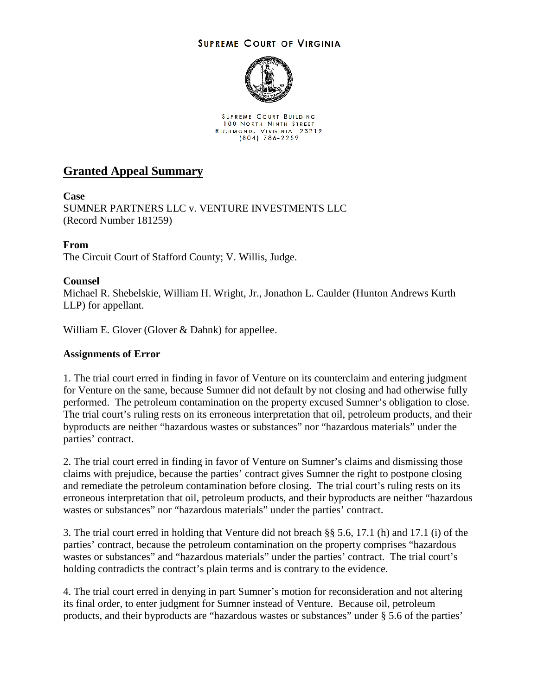### **SUPREME COURT OF VIRGINIA**



SUPREME COURT BUILDING **100 NORTH NINTH STREET** RICHMOND, VIRGINIA 23219<br>(804) 786-2259

# **Granted Appeal Summary**

### **Case**

SUMNER PARTNERS LLC v. VENTURE INVESTMENTS LLC (Record Number 181259)

# **From**

The Circuit Court of Stafford County; V. Willis, Judge.

# **Counsel**

Michael R. Shebelskie, William H. Wright, Jr., Jonathon L. Caulder (Hunton Andrews Kurth LLP) for appellant.

William E. Glover (Glover & Dahnk) for appellee.

#### **Assignments of Error**

1. The trial court erred in finding in favor of Venture on its counterclaim and entering judgment for Venture on the same, because Sumner did not default by not closing and had otherwise fully performed. The petroleum contamination on the property excused Sumner's obligation to close. The trial court's ruling rests on its erroneous interpretation that oil, petroleum products, and their byproducts are neither "hazardous wastes or substances" nor "hazardous materials" under the parties' contract.

2. The trial court erred in finding in favor of Venture on Sumner's claims and dismissing those claims with prejudice, because the parties' contract gives Sumner the right to postpone closing and remediate the petroleum contamination before closing. The trial court's ruling rests on its erroneous interpretation that oil, petroleum products, and their byproducts are neither "hazardous wastes or substances" nor "hazardous materials" under the parties' contract.

3. The trial court erred in holding that Venture did not breach §§ 5.6, 17.1 (h) and 17.1 (i) of the parties' contract, because the petroleum contamination on the property comprises "hazardous wastes or substances" and "hazardous materials" under the parties' contract. The trial court's holding contradicts the contract's plain terms and is contrary to the evidence.

4. The trial court erred in denying in part Sumner's motion for reconsideration and not altering its final order, to enter judgment for Sumner instead of Venture. Because oil, petroleum products, and their byproducts are "hazardous wastes or substances" under § 5.6 of the parties'